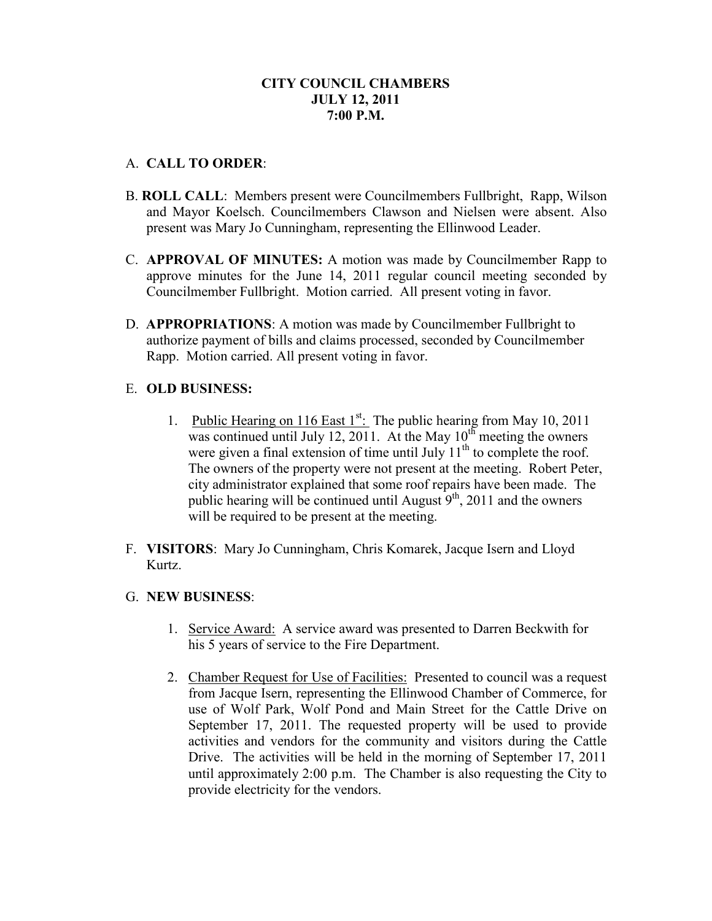# **CITY COUNCIL CHAMBERS JULY 12, 2011 7:00 P.M.**

## A. **CALL TO ORDER**:

- B. **ROLL CALL**: Members present were Councilmembers Fullbright, Rapp, Wilson and Mayor Koelsch. Councilmembers Clawson and Nielsen were absent. Also present was Mary Jo Cunningham, representing the Ellinwood Leader.
- C. **APPROVAL OF MINUTES:** A motion was made by Councilmember Rapp to approve minutes for the June 14, 2011 regular council meeting seconded by Councilmember Fullbright. Motion carried. All present voting in favor.
- D. **APPROPRIATIONS**: A motion was made by Councilmember Fullbright to authorize payment of bills and claims processed, seconded by Councilmember Rapp. Motion carried. All present voting in favor.

#### E. **OLD BUSINESS:**

- 1. Public Hearing on 116 East  $1^{st}$ : The public hearing from May 10, 2011 was continued until July 12, 2011. At the May  $10^{th}$  meeting the owners were given a final extension of time until July  $11<sup>th</sup>$  to complete the roof. The owners of the property were not present at the meeting. Robert Peter, city administrator explained that some roof repairs have been made. The public hearing will be continued until August  $9<sup>th</sup>$ , 2011 and the owners will be required to be present at the meeting.
- F. **VISITORS**: Mary Jo Cunningham, Chris Komarek, Jacque Isern and Lloyd Kurtz.

#### G. **NEW BUSINESS**:

- 1. Service Award: A service award was presented to Darren Beckwith for his 5 years of service to the Fire Department.
- 2. Chamber Request for Use of Facilities: Presented to council was a request from Jacque Isern, representing the Ellinwood Chamber of Commerce, for use of Wolf Park, Wolf Pond and Main Street for the Cattle Drive on September 17, 2011. The requested property will be used to provide activities and vendors for the community and visitors during the Cattle Drive. The activities will be held in the morning of September 17, 2011 until approximately 2:00 p.m. The Chamber is also requesting the City to provide electricity for the vendors.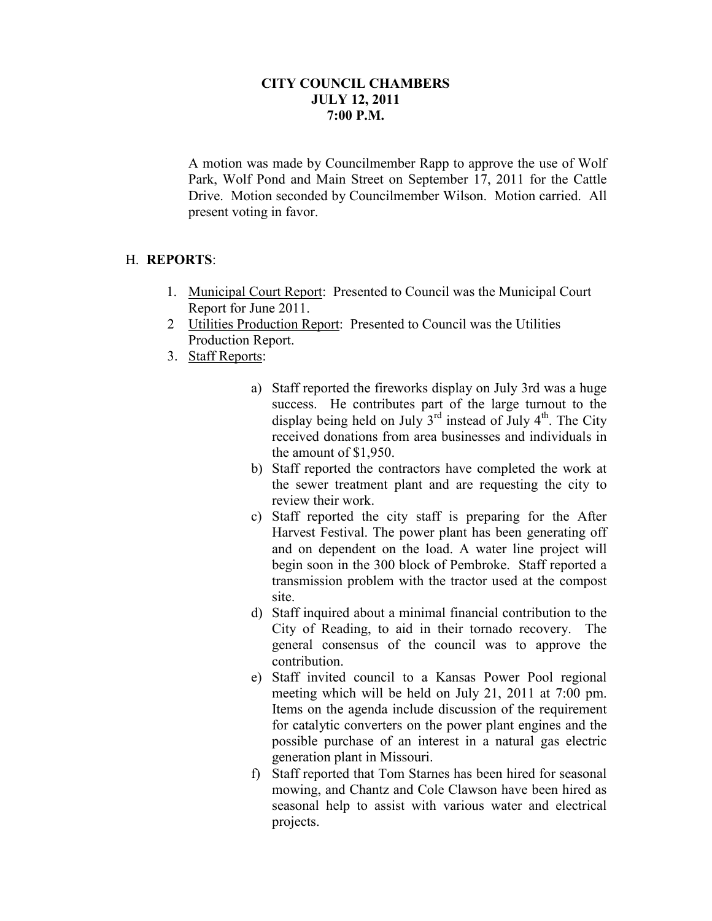## **CITY COUNCIL CHAMBERS JULY 12, 2011 7:00 P.M.**

A motion was made by Councilmember Rapp to approve the use of Wolf Park, Wolf Pond and Main Street on September 17, 2011 for the Cattle Drive. Motion seconded by Councilmember Wilson. Motion carried. All present voting in favor.

#### H. **REPORTS**:

- 1. Municipal Court Report: Presented to Council was the Municipal Court Report for June 2011.
- 2 Utilities Production Report: Presented to Council was the Utilities Production Report.
- 3. Staff Reports:
	- a) Staff reported the fireworks display on July 3rd was a huge success. He contributes part of the large turnout to the display being held on July  $3^{rd}$  instead of July  $4^{th}$ . The City received donations from area businesses and individuals in the amount of \$1,950.
	- b) Staff reported the contractors have completed the work at the sewer treatment plant and are requesting the city to review their work.
	- c) Staff reported the city staff is preparing for the After Harvest Festival. The power plant has been generating off and on dependent on the load. A water line project will begin soon in the 300 block of Pembroke. Staff reported a transmission problem with the tractor used at the compost site.
	- d) Staff inquired about a minimal financial contribution to the City of Reading, to aid in their tornado recovery. The general consensus of the council was to approve the contribution.
	- e) Staff invited council to a Kansas Power Pool regional meeting which will be held on July 21, 2011 at 7:00 pm. Items on the agenda include discussion of the requirement for catalytic converters on the power plant engines and the possible purchase of an interest in a natural gas electric generation plant in Missouri.
	- f) Staff reported that Tom Starnes has been hired for seasonal mowing, and Chantz and Cole Clawson have been hired as seasonal help to assist with various water and electrical projects.